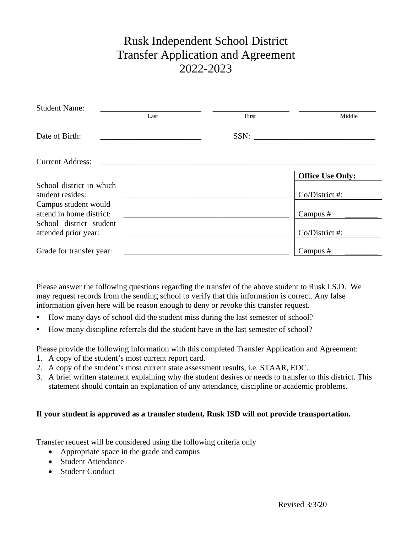## Rusk Independent School District Transfer Application and Agreement 2022-2023

| <b>Student Name:</b>     |      |       |                         |
|--------------------------|------|-------|-------------------------|
|                          | Last | First | Middle                  |
| Date of Birth:           |      |       |                         |
| <b>Current Address:</b>  |      |       |                         |
|                          |      |       | <b>Office Use Only:</b> |
| School district in which |      |       |                         |
| student resides:         |      |       | $Co/District$ #:        |
| Campus student would     |      |       |                         |
| attend in home district: |      |       | Campus #:               |
| School district student  |      |       |                         |
| attended prior year:     |      |       | $Co/District$ #:        |
| Grade for transfer year: |      |       | Campus #:               |

Please answer the following questions regarding the transfer of the above student to Rusk I.S.D. We may request records from the sending school to verify that this information is correct. Any false information given here will be reason enough to deny or revoke this transfer request.

- How many days of school did the student miss during the last semester of school?
- How many discipline referrals did the student have in the last semester of school?

Please provide the following information with this completed Transfer Application and Agreement:

- 1. A copy of the student's most current report card.
- 2. A copy of the student's most current state assessment results, i.e. STAAR, EOC.
- 3. A brief written statement explaining why the student desires or needs to transfer to this district. This statement should contain an explanation of any attendance, discipline or academic problems.

## **If your student is approved as a transfer student, Rusk ISD will not provide transportation.**

Transfer request will be considered using the following criteria only

- Appropriate space in the grade and campus
- Student Attendance
- Student Conduct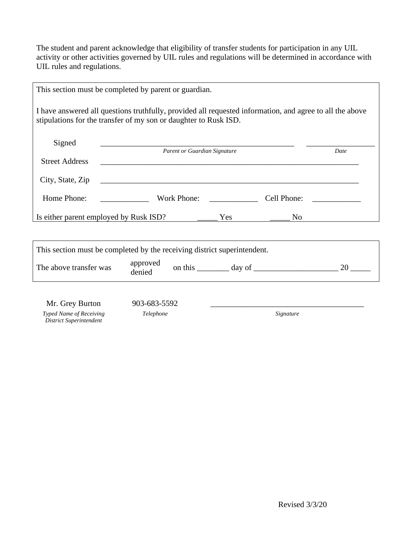The student and parent acknowledge that eligibility of transfer students for participation in any UIL activity or other activities governed by UIL rules and regulations will be determined in accordance with UIL rules and regulations.

| This section must be completed by parent or guardian.                                                                                                                        |                                                                                                                       |  |                  |      |
|------------------------------------------------------------------------------------------------------------------------------------------------------------------------------|-----------------------------------------------------------------------------------------------------------------------|--|------------------|------|
| I have answered all questions truthfully, provided all requested information, and agree to all the above<br>stipulations for the transfer of my son or daughter to Rusk ISD. |                                                                                                                       |  |                  |      |
| Signed                                                                                                                                                                       |                                                                                                                       |  |                  |      |
| <b>Street Address</b>                                                                                                                                                        | Parent or Guardian Signature                                                                                          |  |                  | Date |
| City, State, Zip                                                                                                                                                             | <u> 1999 - Johann Harry Harry Harry Harry Harry Harry Harry Harry Harry Harry Harry Harry Harry Harry Harry Harry</u> |  |                  |      |
| Home Phone:                                                                                                                                                                  | <u> 1990 - John Barnett, fransk politiker</u>                                                                         |  |                  |      |
| Is either parent employed by Rusk ISD? The Mess Theorem Press, The Mess Theorem 2014                                                                                         |                                                                                                                       |  | $\overline{N}$ o |      |
|                                                                                                                                                                              |                                                                                                                       |  |                  |      |
| This section must be completed by the receiving district superintendent.                                                                                                     |                                                                                                                       |  |                  |      |
| The above transfer was                                                                                                                                                       | approved<br>denied                                                                                                    |  |                  |      |
| Mr. Grey Burton                                                                                                                                                              | 903-683-5592                                                                                                          |  |                  |      |
| Typed Name of Receiving<br><b>District Superintendent</b>                                                                                                                    | Telephone                                                                                                             |  | Signature        |      |